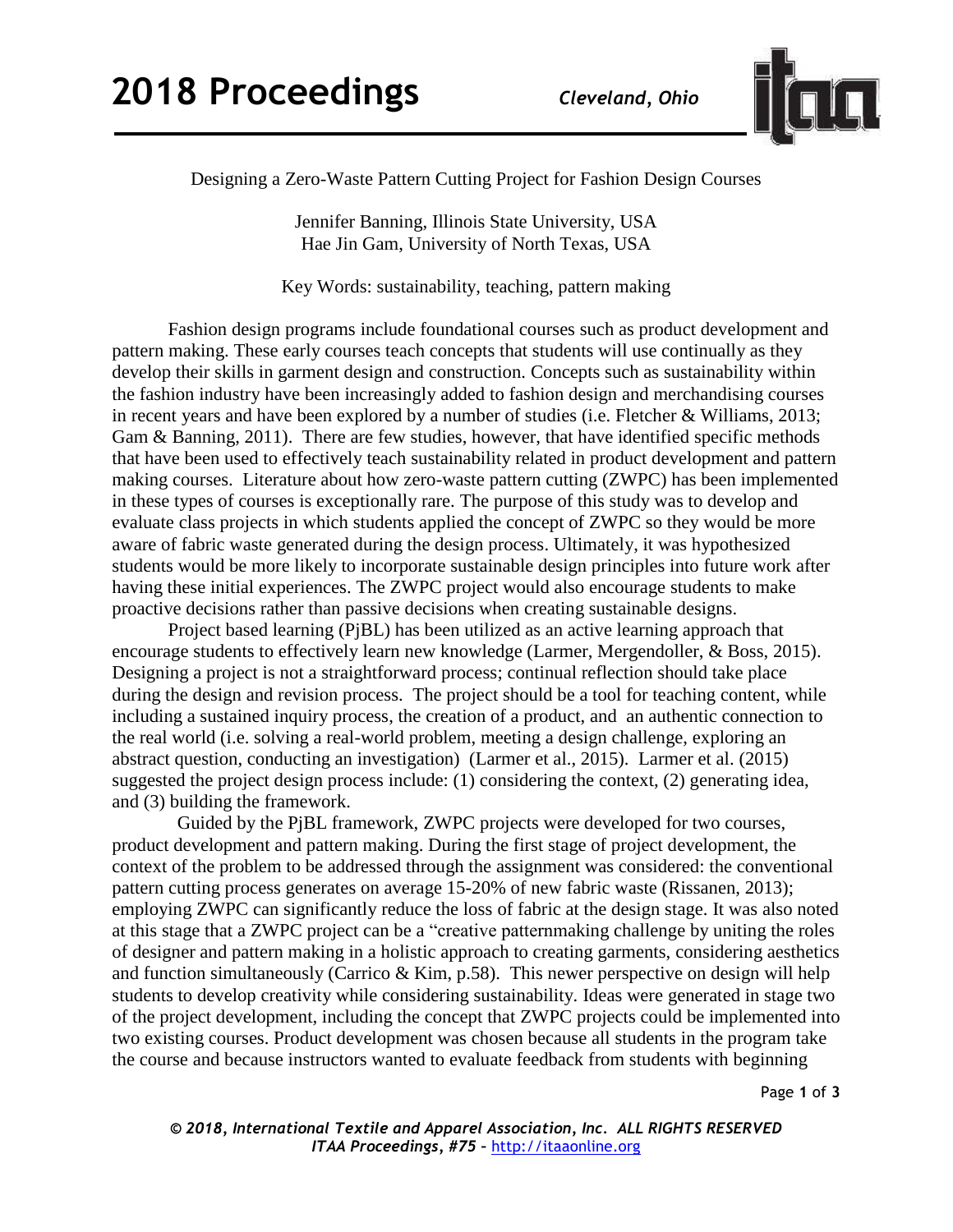

Designing a Zero-Waste Pattern Cutting Project for Fashion Design Courses

Jennifer Banning, Illinois State University, USA Hae Jin Gam, University of North Texas, USA

Key Words: sustainability, teaching, pattern making

Fashion design programs include foundational courses such as product development and pattern making. These early courses teach concepts that students will use continually as they develop their skills in garment design and construction. Concepts such as sustainability within the fashion industry have been increasingly added to fashion design and merchandising courses in recent years and have been explored by a number of studies (i.e. Fletcher & Williams, 2013; Gam & Banning, 2011). There are few studies, however, that have identified specific methods that have been used to effectively teach sustainability related in product development and pattern making courses. Literature about how zero-waste pattern cutting (ZWPC) has been implemented in these types of courses is exceptionally rare. The purpose of this study was to develop and evaluate class projects in which students applied the concept of ZWPC so they would be more aware of fabric waste generated during the design process. Ultimately, it was hypothesized students would be more likely to incorporate sustainable design principles into future work after having these initial experiences. The ZWPC project would also encourage students to make proactive decisions rather than passive decisions when creating sustainable designs.

Project based learning (PjBL) has been utilized as an active learning approach that encourage students to effectively learn new knowledge (Larmer, Mergendoller, & Boss, 2015). Designing a project is not a straightforward process; continual reflection should take place during the design and revision process. The project should be a tool for teaching content, while including a sustained inquiry process, the creation of a product, and an authentic connection to the real world (i.e. solving a real-world problem, meeting a design challenge, exploring an abstract question, conducting an investigation) (Larmer et al., 2015). Larmer et al. (2015) suggested the project design process include: (1) considering the context, (2) generating idea, and (3) building the framework.

Guided by the PjBL framework, ZWPC projects were developed for two courses, product development and pattern making. During the first stage of project development, the context of the problem to be addressed through the assignment was considered: the conventional pattern cutting process generates on average 15-20% of new fabric waste (Rissanen, 2013); employing ZWPC can significantly reduce the loss of fabric at the design stage. It was also noted at this stage that a ZWPC project can be a "creative patternmaking challenge by uniting the roles of designer and pattern making in a holistic approach to creating garments, considering aesthetics and function simultaneously (Carrico & Kim, p.58). This newer perspective on design will help students to develop creativity while considering sustainability. Ideas were generated in stage two of the project development, including the concept that ZWPC projects could be implemented into two existing courses. Product development was chosen because all students in the program take the course and because instructors wanted to evaluate feedback from students with beginning

Page **1** of **3**

*© 2018, International Textile and Apparel Association, Inc. ALL RIGHTS RESERVED ITAA Proceedings, #75 –* [http://itaaonline.org](http://itaaonline.org/)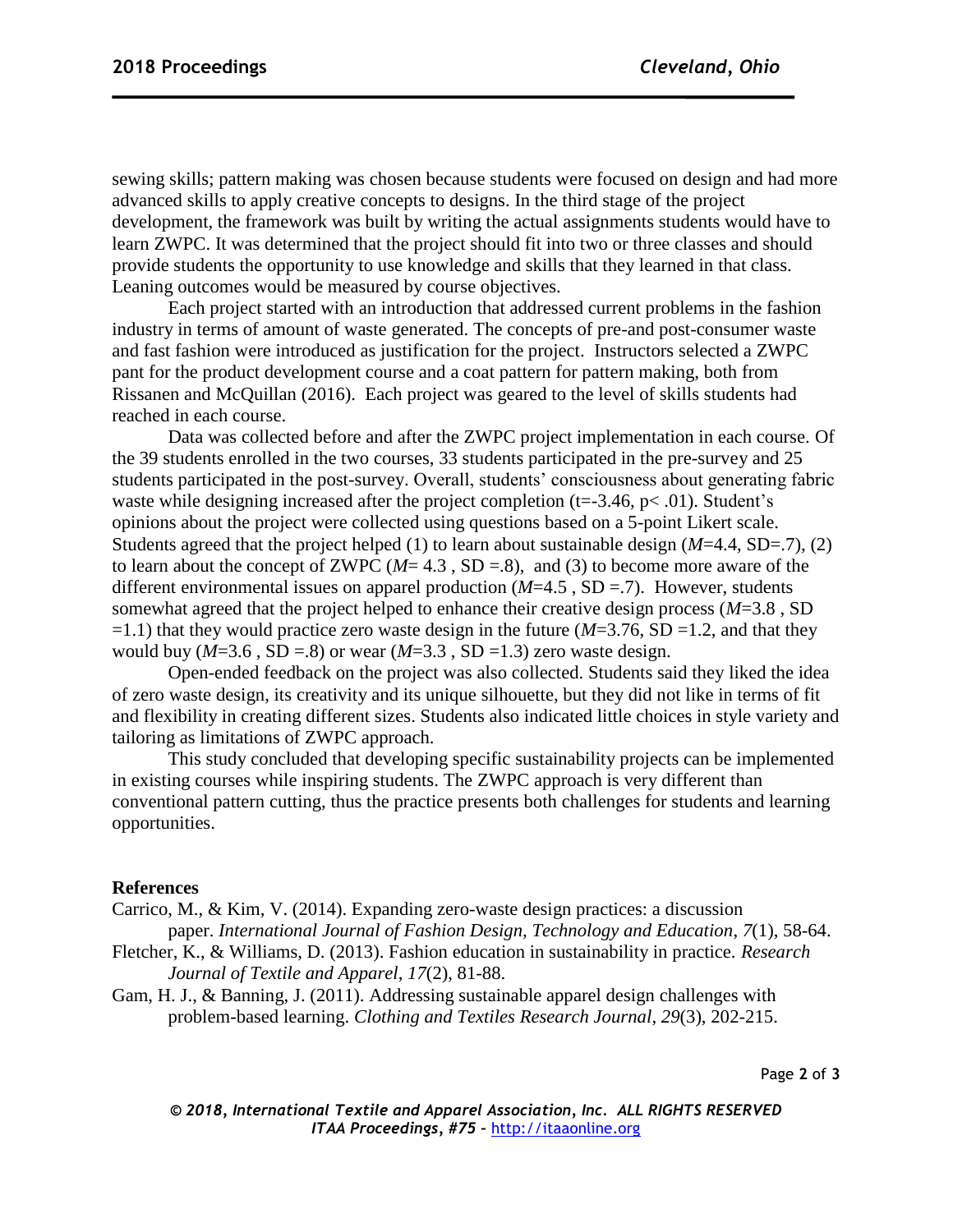sewing skills; pattern making was chosen because students were focused on design and had more advanced skills to apply creative concepts to designs. In the third stage of the project development, the framework was built by writing the actual assignments students would have to learn ZWPC. It was determined that the project should fit into two or three classes and should provide students the opportunity to use knowledge and skills that they learned in that class. Leaning outcomes would be measured by course objectives.

Each project started with an introduction that addressed current problems in the fashion industry in terms of amount of waste generated. The concepts of pre-and post-consumer waste and fast fashion were introduced as justification for the project. Instructors selected a ZWPC pant for the product development course and a coat pattern for pattern making, both from Rissanen and McQuillan (2016). Each project was geared to the level of skills students had reached in each course.

Data was collected before and after the ZWPC project implementation in each course. Of the 39 students enrolled in the two courses, 33 students participated in the pre-survey and 25 students participated in the post-survey. Overall, students' consciousness about generating fabric waste while designing increased after the project completion ( $t = -3.46$ ,  $p < .01$ ). Student's opinions about the project were collected using questions based on a 5-point Likert scale. Students agreed that the project helped (1) to learn about sustainable design (*M*=4.4, SD=.7), (2) to learn about the concept of ZWPC (*M*= 4.3 , SD =.8), and (3) to become more aware of the different environmental issues on apparel production (*M*=4.5 , SD =.7). However, students somewhat agreed that the project helped to enhance their creative design process (*M*=3.8 , SD  $=1.1$ ) that they would practice zero waste design in the future ( $M=3.76$ , SD  $=1.2$ , and that they would buy  $(M=3.6 \text{ , SD} = .8)$  or wear  $(M=3.3 \text{ , SD} = 1.3)$  zero waste design.

Open-ended feedback on the project was also collected. Students said they liked the idea of zero waste design, its creativity and its unique silhouette, but they did not like in terms of fit and flexibility in creating different sizes. Students also indicated little choices in style variety and tailoring as limitations of ZWPC approach.

This study concluded that developing specific sustainability projects can be implemented in existing courses while inspiring students. The ZWPC approach is very different than conventional pattern cutting, thus the practice presents both challenges for students and learning opportunities.

## **References**

Carrico, M., & Kim, V. (2014). Expanding zero-waste design practices: a discussion paper. *International Journal of Fashion Design, Technology and Education*, *7*(1), 58-64.

- Fletcher, K., & Williams, D. (2013). Fashion education in sustainability in practice. *Research Journal of Textile and Apparel*, *17*(2), 81-88.
- Gam, H. J., & Banning, J. (2011). Addressing sustainable apparel design challenges with problem-based learning. *Clothing and Textiles Research Journal*, *29*(3), 202-215.

Page **2** of **3**

*© 2018, International Textile and Apparel Association, Inc. ALL RIGHTS RESERVED ITAA Proceedings, #75 –* [http://itaaonline.org](http://itaaonline.org/)